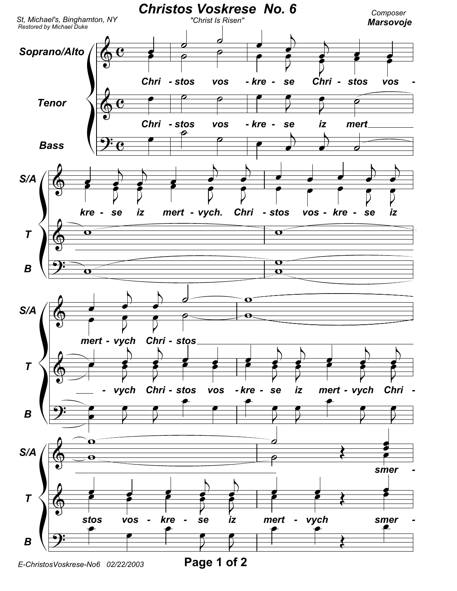

E-ChristosVoskrese-No6 02/22/2003

Page 1 of 2